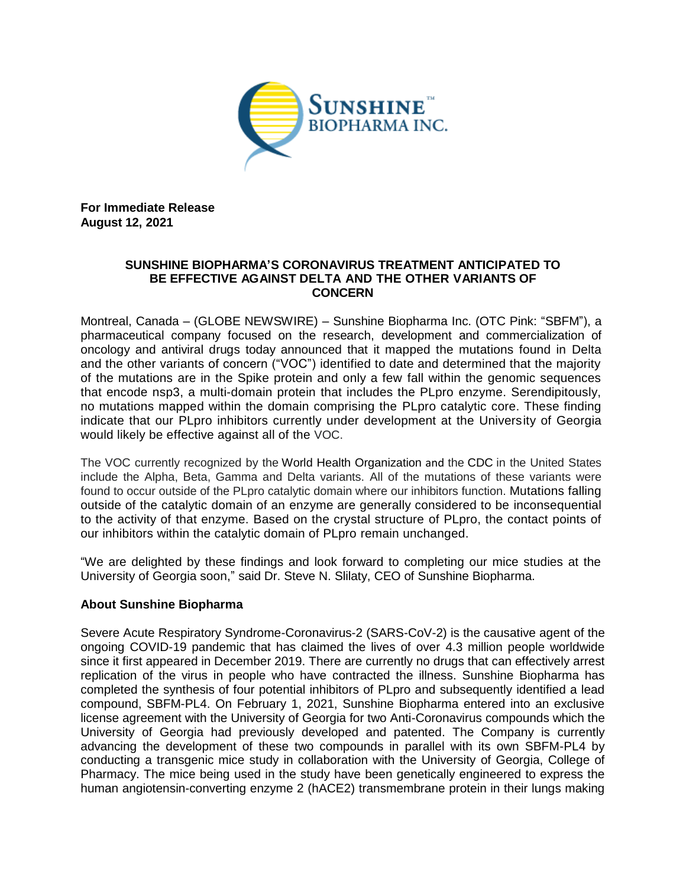

**For Immediate Release August 12, 2021**

## **SUNSHINE BIOPHARMA'S CORONAVIRUS TREATMENT ANTICIPATED TO BE EFFECTIVE AGAINST DELTA AND THE OTHER VARIANTS OF CONCERN**

Montreal, Canada – (GLOBE NEWSWIRE) – Sunshine Biopharma Inc. (OTC Pink: "SBFM"), a pharmaceutical company focused on the research, development and commercialization of oncology and antiviral drugs today announced that it mapped the mutations found in Delta and the other variants of concern ("VOC") identified to date and determined that the majority of the mutations are in the Spike protein and only a few fall within the genomic sequences that encode nsp3, a multi-domain protein that includes the PLpro enzyme. Serendipitously, no mutations mapped within the domain comprising the PLpro catalytic core. These finding indicate that our PLpro inhibitors currently under development at the University of Georgia would likely be effective against all of the VOC.

The VOC currently recognized by the World Health Organization and the CDC in the United States include the Alpha, Beta, Gamma and Delta variants. All of the mutations of these variants were found to occur outside of the PLpro catalytic domain where our inhibitors function. Mutations falling outside of the catalytic domain of an enzyme are generally considered to be inconsequential to the activity of that enzyme. Based on the crystal structure of PLpro, the contact points of our inhibitors within the catalytic domain of PLpro remain unchanged.

"We are delighted by these findings and look forward to completing our mice studies at the University of Georgia soon," said Dr. Steve N. Slilaty, CEO of Sunshine Biopharma.

## **About Sunshine Biopharma**

Severe Acute Respiratory Syndrome-Coronavirus-2 (SARS-CoV-2) is the causative agent of the ongoing COVID-19 pandemic that has claimed the lives of over 4.3 million people worldwide since it first appeared in December 2019. There are currently no drugs that can effectively arrest replication of the virus in people who have contracted the illness. Sunshine Biopharma has completed the synthesis of four potential inhibitors of PLpro and subsequently identified a lead compound, SBFM-PL4. On February 1, 2021, Sunshine Biopharma entered into an exclusive license agreement with the University of Georgia for two Anti-Coronavirus compounds which the University of Georgia had previously developed and patented. The Company is currently advancing the development of these two compounds in parallel with its own SBFM-PL4 by conducting a transgenic mice study in collaboration with the University of Georgia, College of Pharmacy. The mice being used in the study have been genetically engineered to express the human angiotensin-converting enzyme 2 (hACE2) transmembrane protein in their lungs making